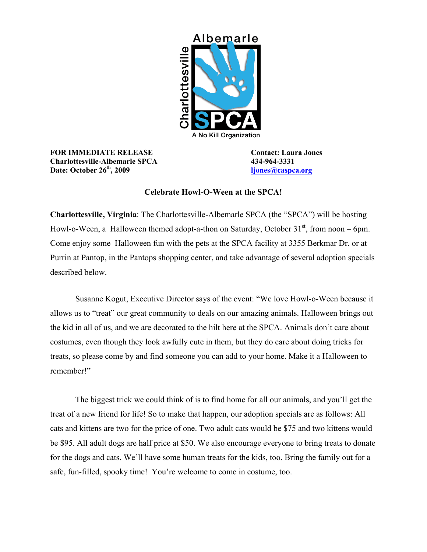

## **FOR IMMEDIATE RELEASE Contact: Laura Jones Charlottesville-Albemarle SPCA 434-964-3331 Date: October 26<sup>th</sup>, 2009 [ljones@caspca.org](mailto:director@caspca.org)**

## **Celebrate Howl-O-Ween at the SPCA!**

**Charlottesville, Virginia**: The Charlottesville-Albemarle SPCA (the "SPCA") will be hosting Howl-o-Ween, a Halloween themed adopt-a-thon on Saturday, October  $31<sup>st</sup>$ , from noon – 6pm. Come enjoy some Halloween fun with the pets at the SPCA facility at 3355 Berkmar Dr. or at Purrin at Pantop, in the Pantops shopping center, and take advantage of several adoption specials described below.

Susanne Kogut, Executive Director says of the event: "We love Howl-o-Ween because it allows us to "treat" our great community to deals on our amazing animals. Halloween brings out the kid in all of us, and we are decorated to the hilt here at the SPCA. Animals don't care about costumes, even though they look awfully cute in them, but they do care about doing tricks for treats, so please come by and find someone you can add to your home. Make it a Halloween to remember!"

The biggest trick we could think of is to find home for all our animals, and you'll get the treat of a new friend for life! So to make that happen, our adoption specials are as follows: All cats and kittens are two for the price of one. Two adult cats would be \$75 and two kittens would be \$95. All adult dogs are half price at \$50. We also encourage everyone to bring treats to donate for the dogs and cats. We'll have some human treats for the kids, too. Bring the family out for a safe, fun-filled, spooky time! You're welcome to come in costume, too.